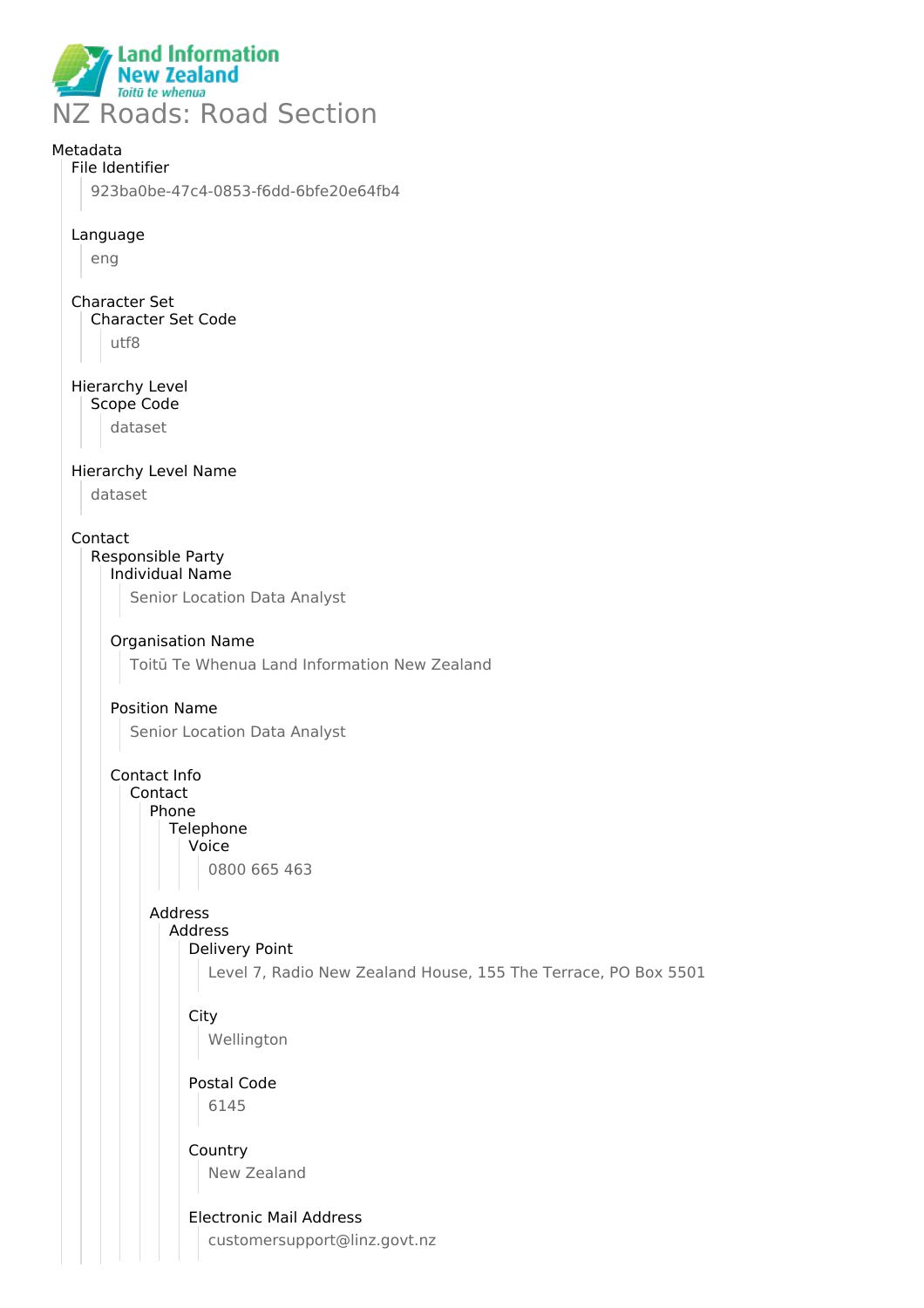

# Metadata

# File Identifier

923ba0be-47c4-0853-f6dd-6bfe20e64fb4

### Language

eng

# Character Set Character Set Code utf8

Hierarchy Level

Scope Code

dataset

# Hierarchy Level Name

dataset

### Contact

#### Responsible Party Individual Name

Senior Location Data Analyst

# Organisation Name

Toitū Te Whenua Land Information New Zealand

# Position Name

Senior Location Data Analyst

#### Contact Info Contact

Phone

#### **Telephone** Voice

0800 665 463

# Address

#### Address Delivery Point

Level 7, Radio New Zealand House, 155 The Terrace, PO Box 5501

# **City**

Wellington

# Postal Code 6145

Country New Zealand

# Electronic Mail Address

customersupport@linz.govt.nz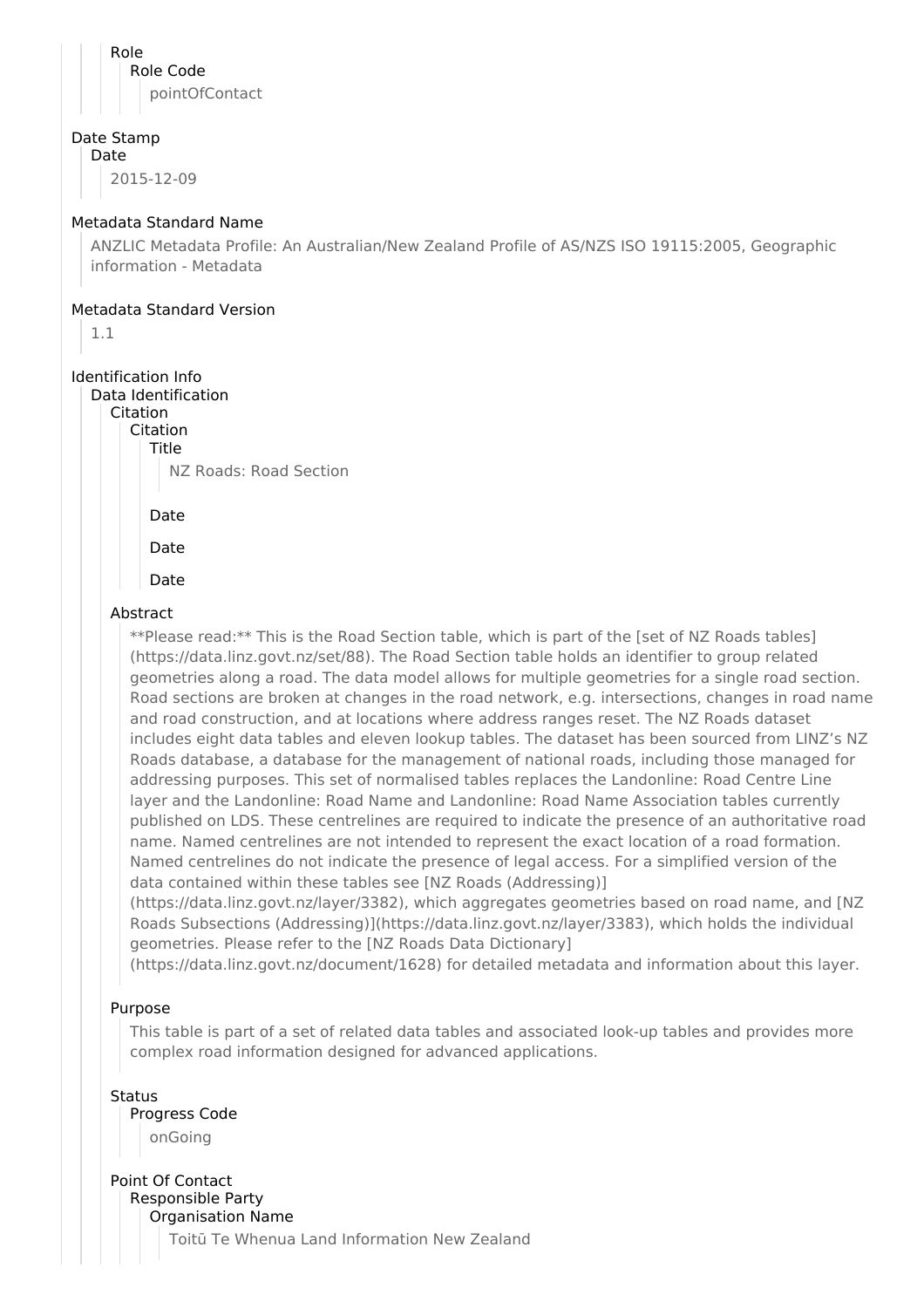Role Role Code pointOfContact

# Date Stamp

Date

2015-12-09

### Metadata Standard Name

ANZLIC Metadata Profile: An Australian/New Zealand Profile of AS/NZS ISO 19115:2005, Geographic information - Metadata

#### Metadata Standard Version

1.1

#### Identification Info Data Identification

Citation

Citation

Title NZ Roads: Road Section

Date

Date

Date

# Abstract

\*\*Please read:\*\* This is the Road Section table, which is part of the [set of NZ Roads tables] (https://data.linz.govt.nz/set/88). The Road Section table holds an identifier to group related geometries along a road. The data model allows for multiple geometries for a single road section. Road sections are broken at changes in the road network, e.g. intersections, changes in road name and road construction, and at locations where address ranges reset. The NZ Roads dataset includes eight data tables and eleven lookup tables. The dataset has been sourced from LINZ's NZ Roads database, a database for the management of national roads, including those managed for addressing purposes. This set of normalised tables replaces the Landonline: Road Centre Line layer and the Landonline: Road Name and Landonline: Road Name Association tables currently published on LDS. These centrelines are required to indicate the presence of an authoritative road name. Named centrelines are not intended to represent the exact location of a road formation. Named centrelines do not indicate the presence of legal access. For a simplified version of the data contained within these tables see [NZ Roads (Addressing)]

(https://data.linz.govt.nz/layer/3382), which aggregates geometries based on road name, and [NZ Roads Subsections (Addressing)](https://data.linz.govt.nz/layer/3383), which holds the individual geometries. Please refer to the [NZ Roads Data Dictionary]

(https://data.linz.govt.nz/document/1628) for detailed metadata and information about this layer.

# Purpose

This table is part of a set of related data tables and associated look-up tables and provides more complex road information designed for advanced applications.

**Status** Progress Code onGoing

Point Of Contact Responsible Party Organisation Name

Toitū Te Whenua Land Information New Zealand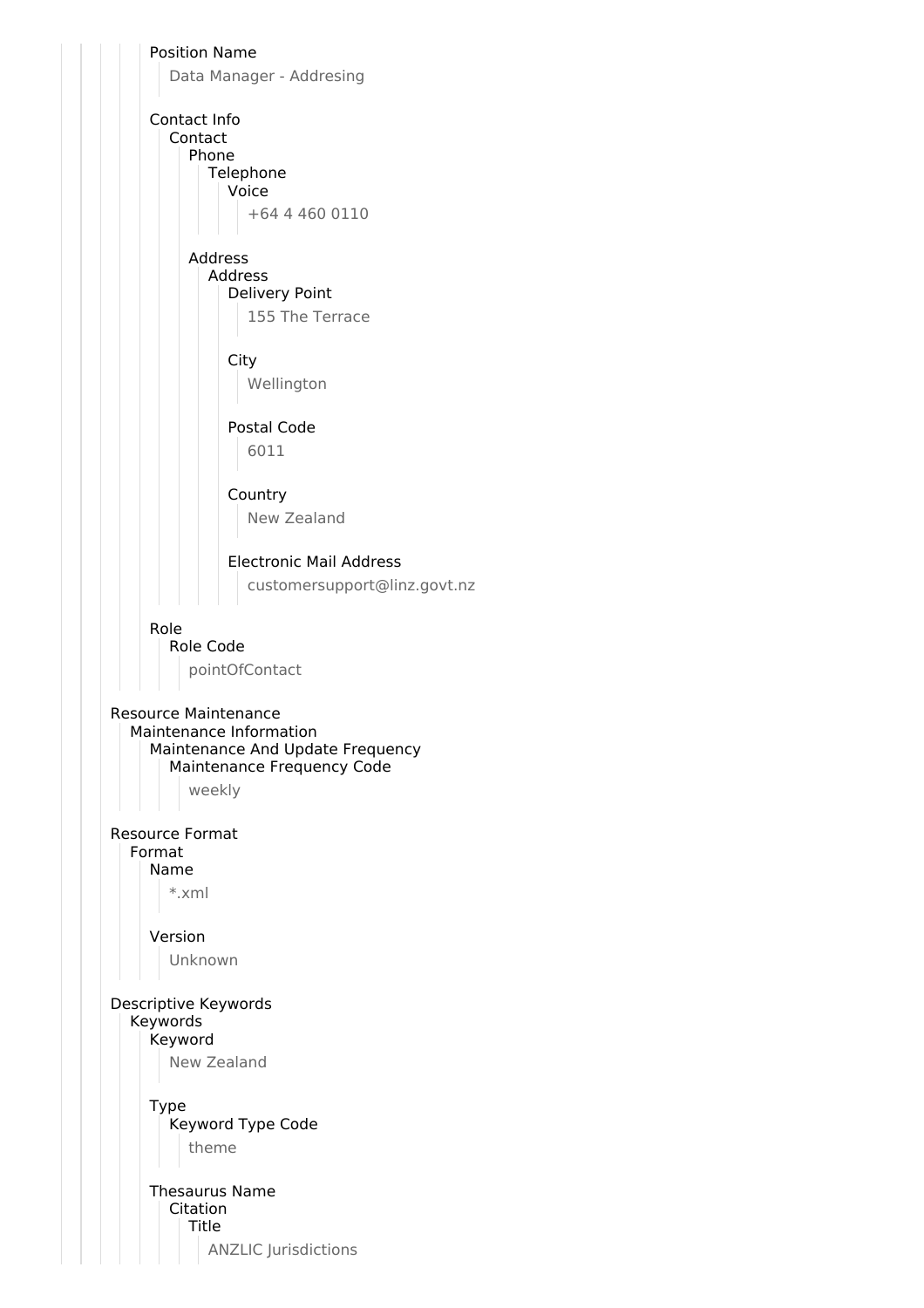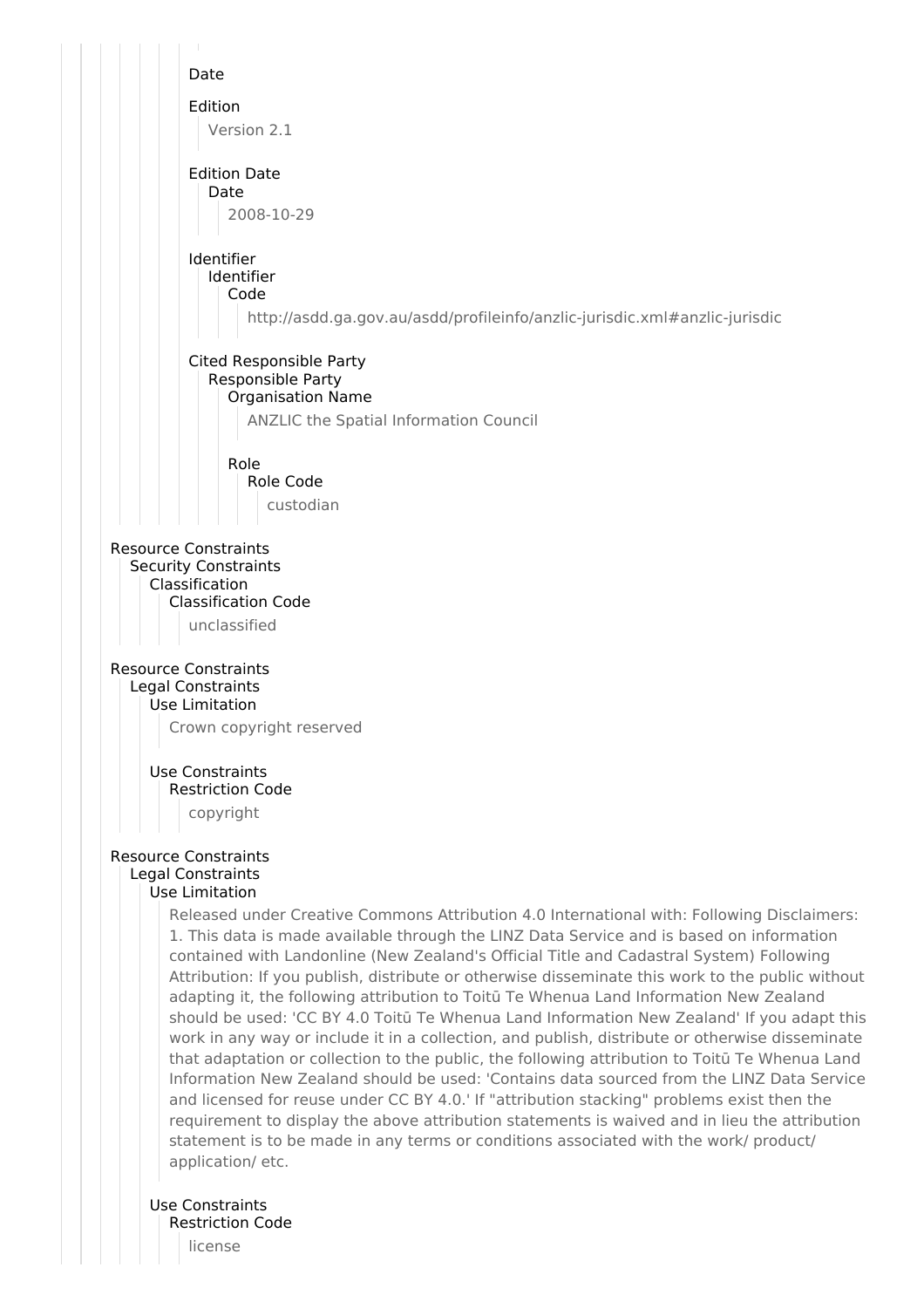

Use Constraints Restriction Code license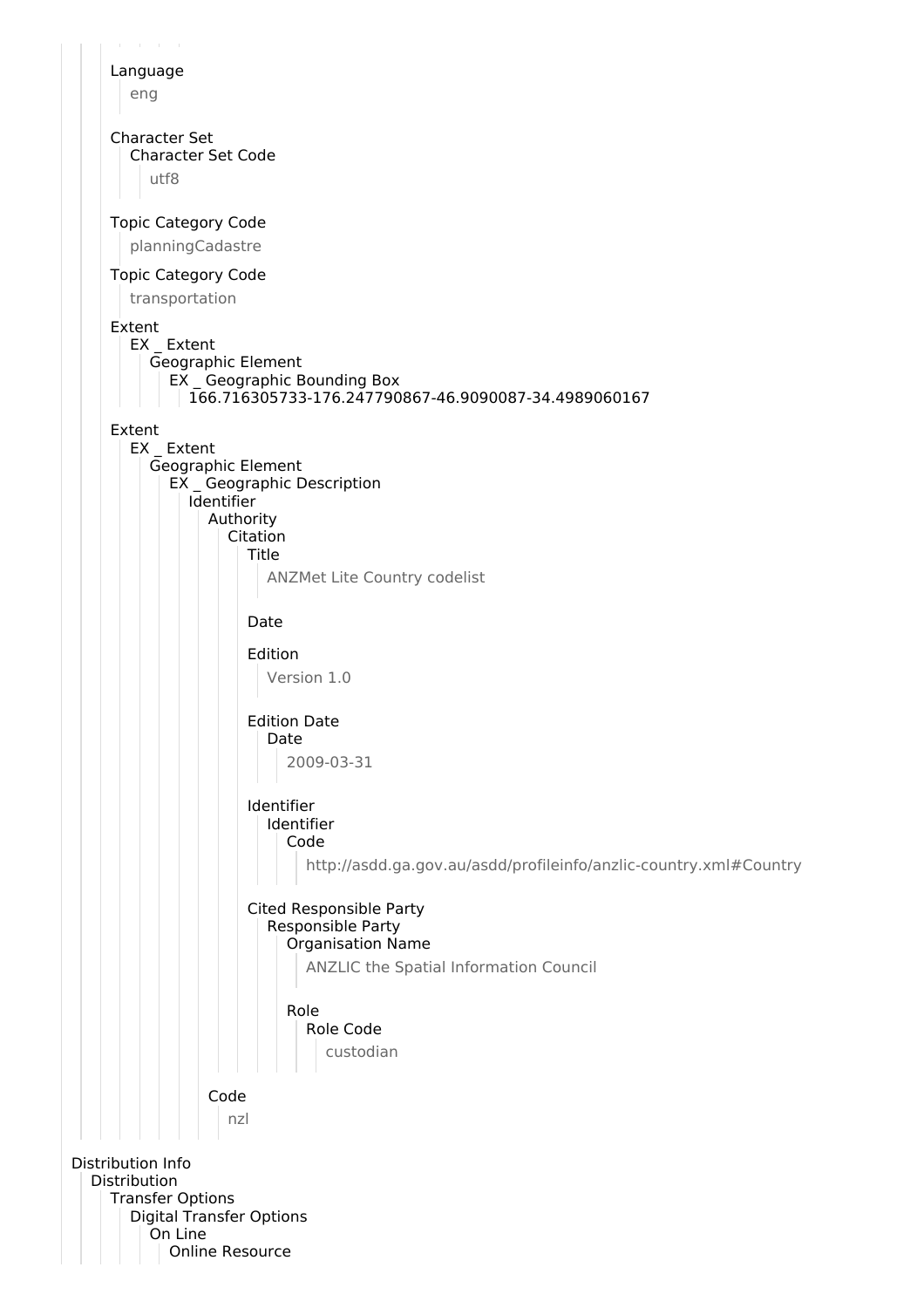